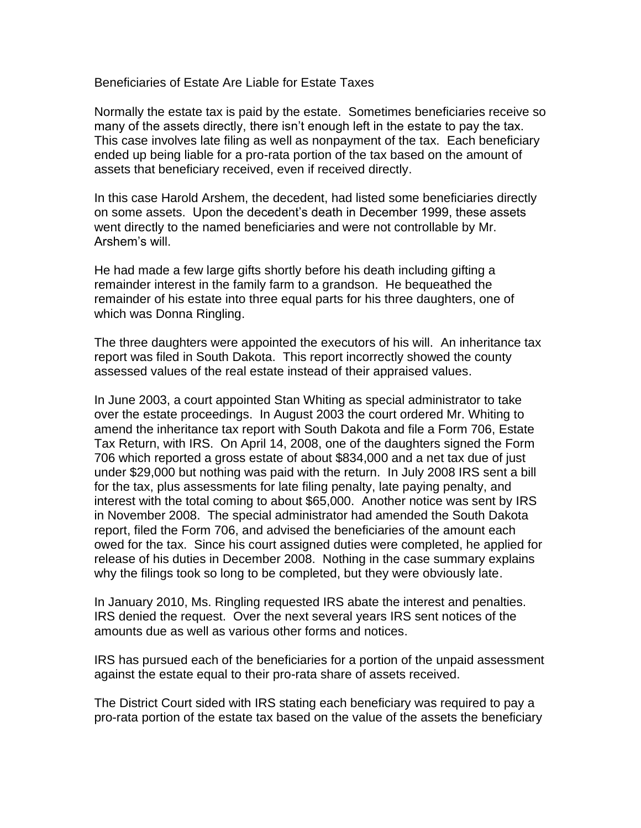Beneficiaries of Estate Are Liable for Estate Taxes

Normally the estate tax is paid by the estate. Sometimes beneficiaries receive so many of the assets directly, there isn't enough left in the estate to pay the tax. This case involves late filing as well as nonpayment of the tax. Each beneficiary ended up being liable for a pro-rata portion of the tax based on the amount of assets that beneficiary received, even if received directly.

In this case Harold Arshem, the decedent, had listed some beneficiaries directly on some assets. Upon the decedent's death in December 1999, these assets went directly to the named beneficiaries and were not controllable by Mr. Arshem's will.

He had made a few large gifts shortly before his death including gifting a remainder interest in the family farm to a grandson. He bequeathed the remainder of his estate into three equal parts for his three daughters, one of which was Donna Ringling.

The three daughters were appointed the executors of his will. An inheritance tax report was filed in South Dakota. This report incorrectly showed the county assessed values of the real estate instead of their appraised values.

In June 2003, a court appointed Stan Whiting as special administrator to take over the estate proceedings. In August 2003 the court ordered Mr. Whiting to amend the inheritance tax report with South Dakota and file a Form 706, Estate Tax Return, with IRS. On April 14, 2008, one of the daughters signed the Form 706 which reported a gross estate of about \$834,000 and a net tax due of just under \$29,000 but nothing was paid with the return. In July 2008 IRS sent a bill for the tax, plus assessments for late filing penalty, late paying penalty, and interest with the total coming to about \$65,000. Another notice was sent by IRS in November 2008. The special administrator had amended the South Dakota report, filed the Form 706, and advised the beneficiaries of the amount each owed for the tax. Since his court assigned duties were completed, he applied for release of his duties in December 2008. Nothing in the case summary explains why the filings took so long to be completed, but they were obviously late.

In January 2010, Ms. Ringling requested IRS abate the interest and penalties. IRS denied the request. Over the next several years IRS sent notices of the amounts due as well as various other forms and notices.

IRS has pursued each of the beneficiaries for a portion of the unpaid assessment against the estate equal to their pro-rata share of assets received.

The District Court sided with IRS stating each beneficiary was required to pay a pro-rata portion of the estate tax based on the value of the assets the beneficiary